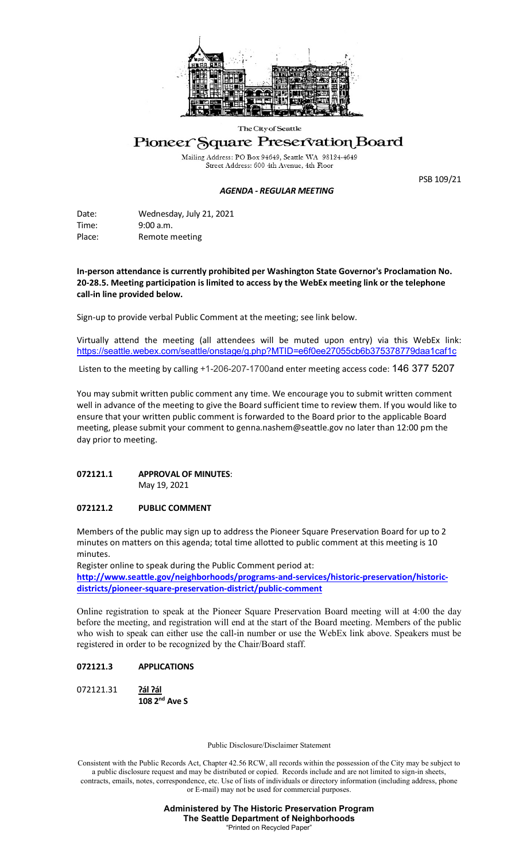

#### The City of Seattle

## Pioneer Square Preservation Board

Mailing Address: PO Box 94649, Seattle WA 98124-4649<br>Street Address: 600 4th Avenue, 4th Floor

### *AGENDA - REGULAR MEETING*

PSB 109/21

Date: Wednesday, July 21, 2021 Time: 9:00 a.m. Place: Remote meeting

**In-person attendance is currently prohibited per Washington State Governor's Proclamation No. 20-28.5. Meeting participation is limited to access by the WebEx meeting link or the telephone call-in line provided below.** 

Sign-up to provide verbal Public Comment at the meeting; see link below.

Virtually attend the meeting (all attendees will be muted upon entry) via this WebEx link: <https://seattle.webex.com/seattle/onstage/g.php?MTID=e6f0ee27055cb6b375378779daa1caf1c>

Listen to the meeting by calling +1-206-207-1700and enter meeting access code: 146 377 5207

You may submit written public comment any time. We encourage you to submit written comment well in advance of the meeting to give the Board sufficient time to review them. If you would like to ensure that your written public comment is forwarded to the Board prior to the applicable Board meeting, please submit your comment to genna.nashem@seattle.gov no later than 12:00 pm the day prior to meeting.

# **072121.1 APPROVAL OF MINUTES**:

May 19, 2021

### **072121.2 PUBLIC COMMENT**

Members of the public may sign up to address the Pioneer Square Preservation Board for up to 2 minutes on matters on this agenda; total time allotted to public comment at this meeting is 10 minutes.

Register online to speak during the Public Comment period at: **[http://www.seattle.gov/neighborhoods/programs-and-services/historic-preservation/historic](http://www.seattle.gov/neighborhoods/programs-and-services/historic-preservation/historic-districts/pioneer-square-preservation-district/public-comment)[districts/pioneer-square-preservation-district/public-comment](http://www.seattle.gov/neighborhoods/programs-and-services/historic-preservation/historic-districts/pioneer-square-preservation-district/public-comment)**

Online registration to speak at the Pioneer Square Preservation Board meeting will at 4:00 the day before the meeting, and registration will end at the start of the Board meeting. Members of the public who wish to speak can either use the call-in number or use the WebEx link above. Speakers must be registered in order to be recognized by the Chair/Board staff.

### **072121.3 APPLICATIONS**

072121.31 **Ɂál Ɂál 108 2nd Ave S**

Public Disclosure/Disclaimer Statement

Consistent with the Public Records Act, Chapter 42.56 RCW, all records within the possession of the City may be subject to a public disclosure request and may be distributed or copied. Records include and are not limited to sign-in sheets, contracts, emails, notes, correspondence, etc. Use of lists of individuals or directory information (including address, phone or E-mail) may not be used for commercial purposes.

> **Administered by The Historic Preservation Program The Seattle Department of Neighborhoods** "Printed on Recycled Paper"